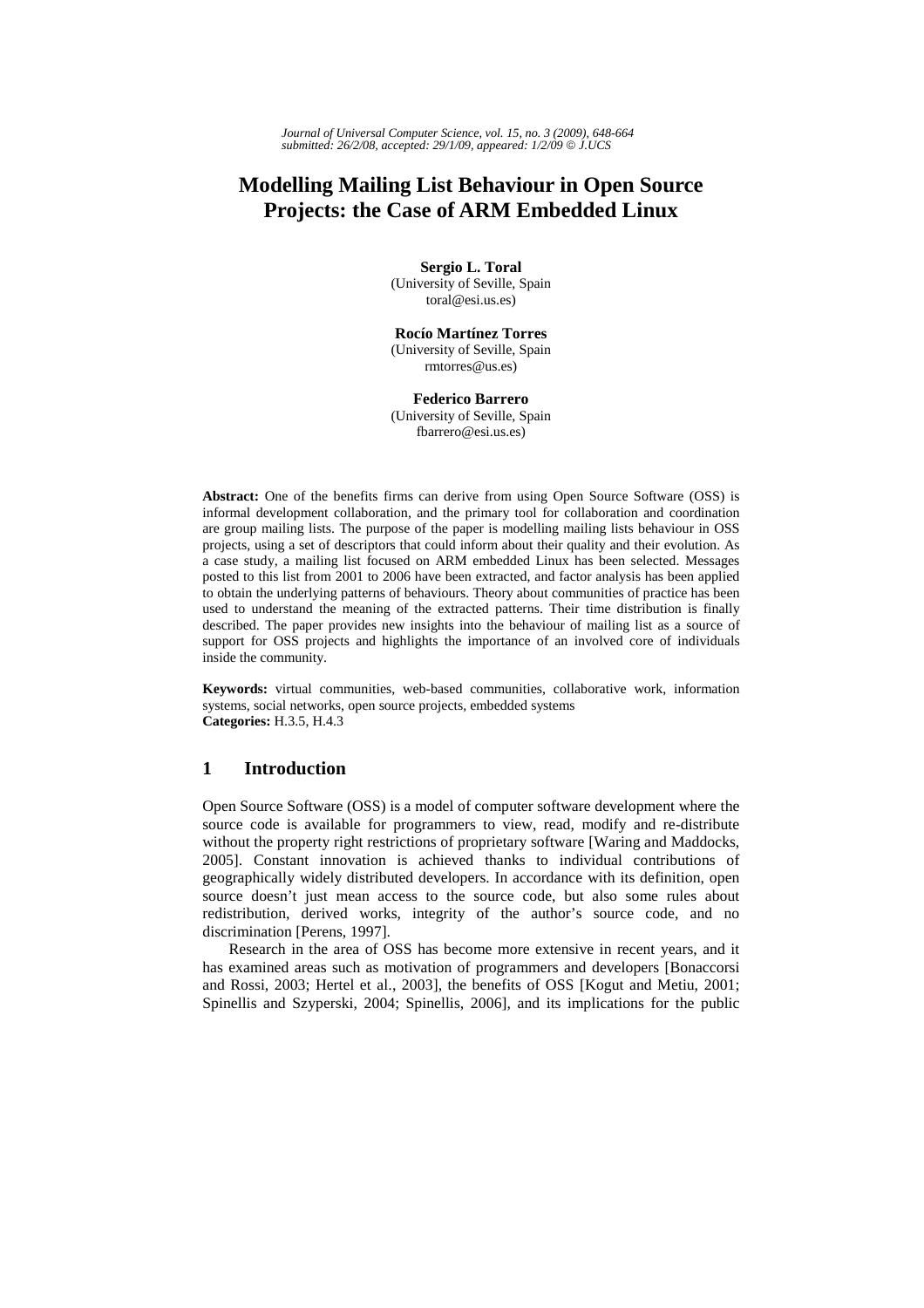*Journal of Universal Computer Science, vol. 15, no. 3 (2009), 648-664 submitted: 26/2/08, accepted: 29/1/09, appeared: 1/2/09* © *J.UCS*

# **Modelling Mailing List Behaviour in Open Source Projects: the Case of ARM Embedded Linux**

**Sergio L. Toral**  (University of Seville, Spain toral@esi.us.es)

**Rocío Martínez Torres** (University of Seville, Spain rmtorres@us.es)

**Federico Barrero**  (University of Seville, Spain fbarrero@esi.us.es)

**Abstract:** One of the benefits firms can derive from using Open Source Software (OSS) is informal development collaboration, and the primary tool for collaboration and coordination are group mailing lists. The purpose of the paper is modelling mailing lists behaviour in OSS projects, using a set of descriptors that could inform about their quality and their evolution. As a case study, a mailing list focused on ARM embedded Linux has been selected. Messages posted to this list from 2001 to 2006 have been extracted, and factor analysis has been applied to obtain the underlying patterns of behaviours. Theory about communities of practice has been used to understand the meaning of the extracted patterns. Their time distribution is finally described. The paper provides new insights into the behaviour of mailing list as a source of support for OSS projects and highlights the importance of an involved core of individuals inside the community.

**Keywords:** virtual communities, web-based communities, collaborative work, information systems, social networks, open source projects, embedded systems **Categories:** H.3.5, H.4.3

# **1 Introduction**

Open Source Software (OSS) is a model of computer software development where the source code is available for programmers to view, read, modify and re-distribute without the property right restrictions of proprietary software [Waring and Maddocks, 2005]. Constant innovation is achieved thanks to individual contributions of geographically widely distributed developers. In accordance with its definition, open source doesn't just mean access to the source code, but also some rules about redistribution, derived works, integrity of the author's source code, and no discrimination [Perens, 1997].

Research in the area of OSS has become more extensive in recent years, and it has examined areas such as motivation of programmers and developers [Bonaccorsi and Rossi, 2003; Hertel et al., 2003], the benefits of OSS [Kogut and Metiu, 2001; Spinellis and Szyperski, 2004; Spinellis, 2006], and its implications for the public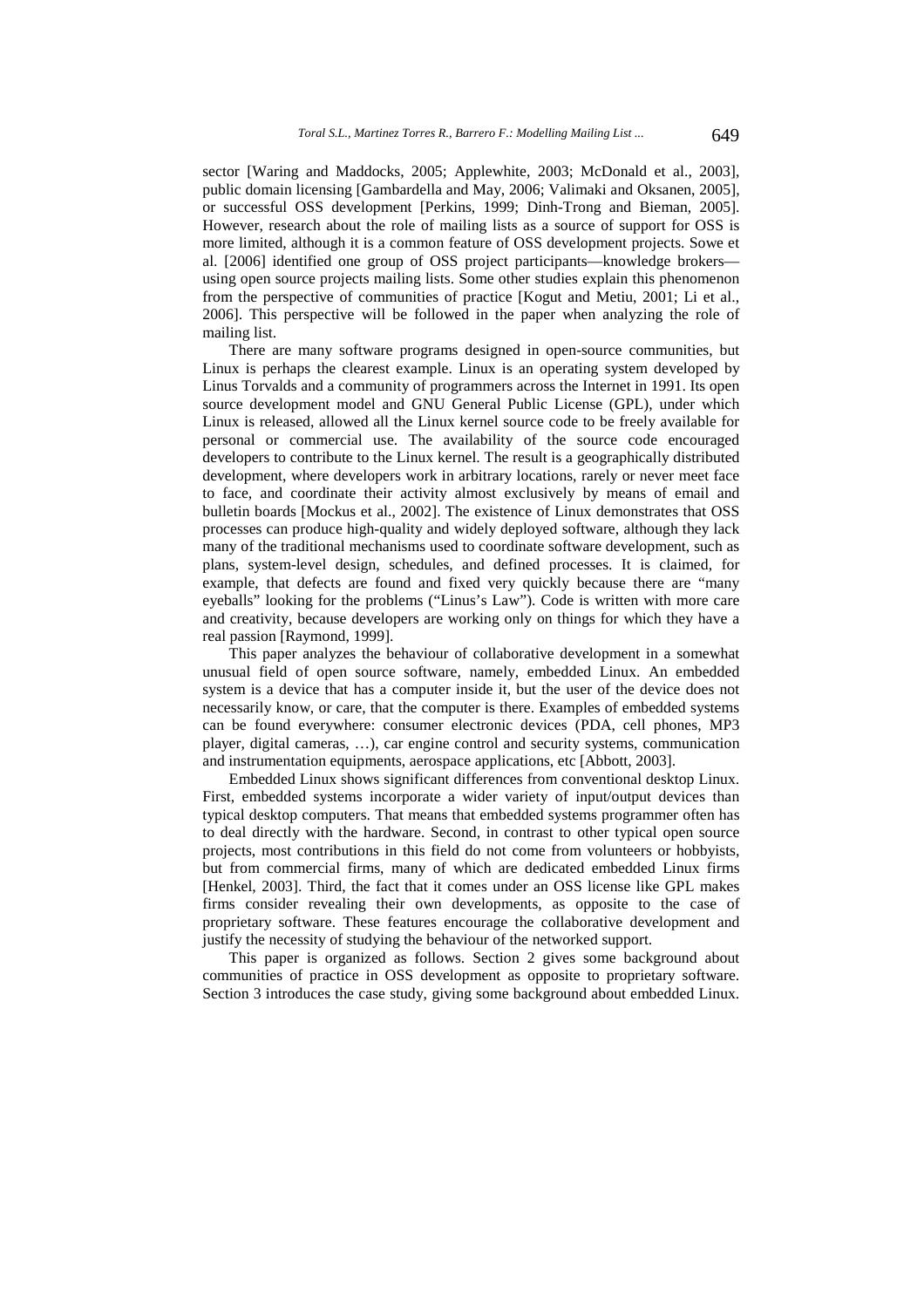sector [Waring and Maddocks, 2005; Applewhite, 2003; McDonald et al., 2003], public domain licensing [Gambardella and May, 2006; Valimaki and Oksanen, 2005], or successful OSS development [Perkins, 1999; Dinh-Trong and Bieman, 2005]. However, research about the role of mailing lists as a source of support for OSS is more limited, although it is a common feature of OSS development projects. Sowe et al. [2006] identified one group of OSS project participants—knowledge brokers using open source projects mailing lists. Some other studies explain this phenomenon from the perspective of communities of practice [Kogut and Metiu, 2001; Li et al., 2006]. This perspective will be followed in the paper when analyzing the role of mailing list.

There are many software programs designed in open-source communities, but Linux is perhaps the clearest example. Linux is an operating system developed by Linus Torvalds and a community of programmers across the Internet in 1991. Its open source development model and GNU General Public License (GPL), under which Linux is released, allowed all the Linux kernel source code to be freely available for personal or commercial use. The availability of the source code encouraged developers to contribute to the Linux kernel. The result is a geographically distributed development, where developers work in arbitrary locations, rarely or never meet face to face, and coordinate their activity almost exclusively by means of email and bulletin boards [Mockus et al., 2002]. The existence of Linux demonstrates that OSS processes can produce high-quality and widely deployed software, although they lack many of the traditional mechanisms used to coordinate software development, such as plans, system-level design, schedules, and defined processes. It is claimed, for example, that defects are found and fixed very quickly because there are "many eyeballs" looking for the problems ("Linus's Law"). Code is written with more care and creativity, because developers are working only on things for which they have a real passion [Raymond, 1999].

This paper analyzes the behaviour of collaborative development in a somewhat unusual field of open source software, namely, embedded Linux. An embedded system is a device that has a computer inside it, but the user of the device does not necessarily know, or care, that the computer is there. Examples of embedded systems can be found everywhere: consumer electronic devices (PDA, cell phones, MP3 player, digital cameras, …), car engine control and security systems, communication and instrumentation equipments, aerospace applications, etc [Abbott, 2003].

Embedded Linux shows significant differences from conventional desktop Linux. First, embedded systems incorporate a wider variety of input/output devices than typical desktop computers. That means that embedded systems programmer often has to deal directly with the hardware. Second, in contrast to other typical open source projects, most contributions in this field do not come from volunteers or hobbyists, but from commercial firms, many of which are dedicated embedded Linux firms [Henkel, 2003]. Third, the fact that it comes under an OSS license like GPL makes firms consider revealing their own developments, as opposite to the case of proprietary software. These features encourage the collaborative development and justify the necessity of studying the behaviour of the networked support.

This paper is organized as follows. Section 2 gives some background about communities of practice in OSS development as opposite to proprietary software. Section 3 introduces the case study, giving some background about embedded Linux.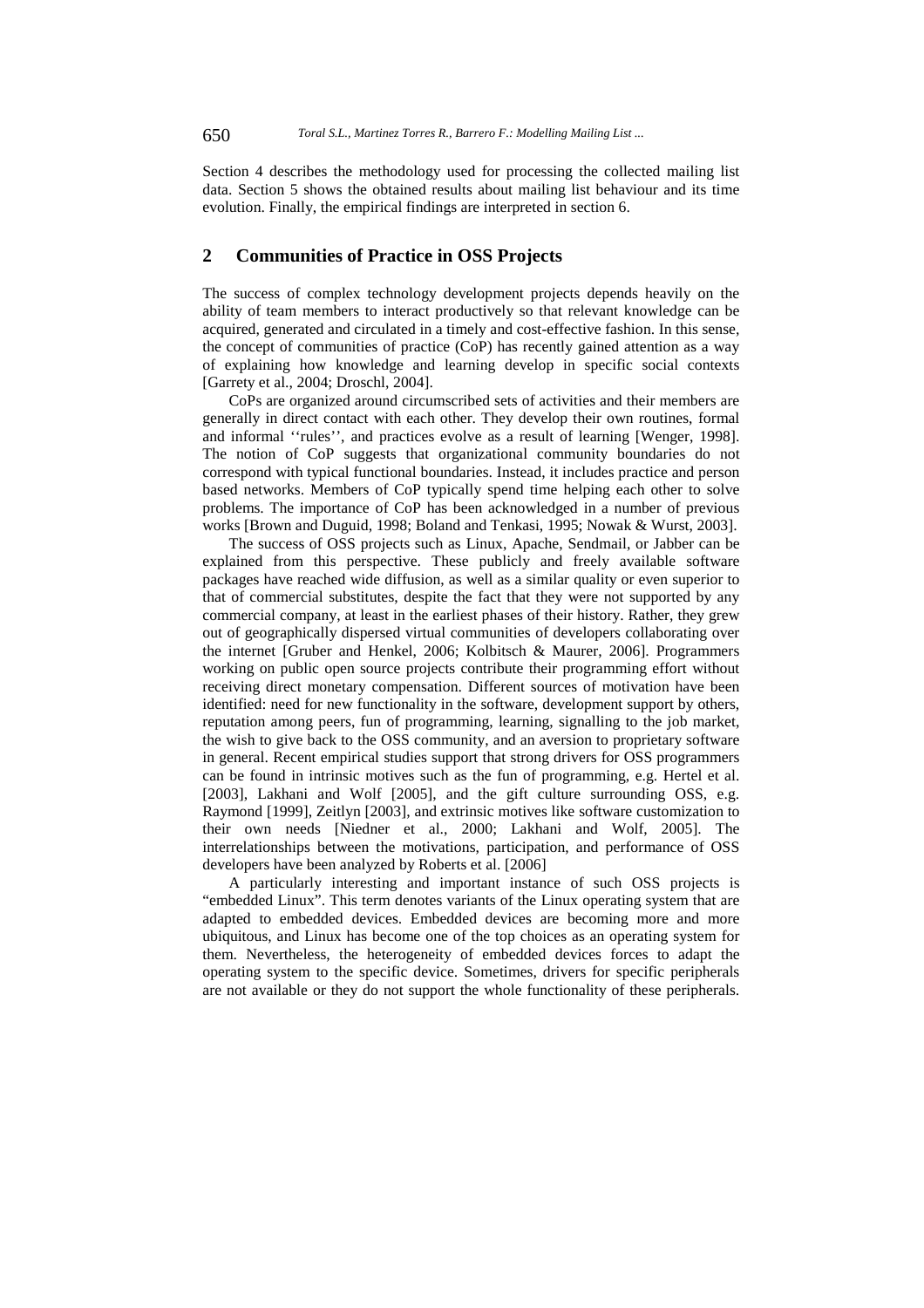Section 4 describes the methodology used for processing the collected mailing list data. Section 5 shows the obtained results about mailing list behaviour and its time evolution. Finally, the empirical findings are interpreted in section 6.

## **2 Communities of Practice in OSS Projects**

The success of complex technology development projects depends heavily on the ability of team members to interact productively so that relevant knowledge can be acquired, generated and circulated in a timely and cost-effective fashion. In this sense, the concept of communities of practice (CoP) has recently gained attention as a way of explaining how knowledge and learning develop in specific social contexts [Garrety et al., 2004; Droschl, 2004].

CoPs are organized around circumscribed sets of activities and their members are generally in direct contact with each other. They develop their own routines, formal and informal ''rules'', and practices evolve as a result of learning [Wenger, 1998]. The notion of CoP suggests that organizational community boundaries do not correspond with typical functional boundaries. Instead, it includes practice and person based networks. Members of CoP typically spend time helping each other to solve problems. The importance of CoP has been acknowledged in a number of previous works [Brown and Duguid, 1998; Boland and Tenkasi, 1995; Nowak & Wurst, 2003].

The success of OSS projects such as Linux, Apache, Sendmail, or Jabber can be explained from this perspective. These publicly and freely available software packages have reached wide diffusion, as well as a similar quality or even superior to that of commercial substitutes, despite the fact that they were not supported by any commercial company, at least in the earliest phases of their history. Rather, they grew out of geographically dispersed virtual communities of developers collaborating over the internet [Gruber and Henkel, 2006; Kolbitsch & Maurer, 2006]. Programmers working on public open source projects contribute their programming effort without receiving direct monetary compensation. Different sources of motivation have been identified: need for new functionality in the software, development support by others, reputation among peers, fun of programming, learning, signalling to the job market, the wish to give back to the OSS community, and an aversion to proprietary software in general. Recent empirical studies support that strong drivers for OSS programmers can be found in intrinsic motives such as the fun of programming, e.g. Hertel et al. [2003], Lakhani and Wolf [2005], and the gift culture surrounding OSS, e.g. Raymond [1999], Zeitlyn [2003], and extrinsic motives like software customization to their own needs [Niedner et al., 2000; Lakhani and Wolf, 2005]. The interrelationships between the motivations, participation, and performance of OSS developers have been analyzed by Roberts et al. [2006]

A particularly interesting and important instance of such OSS projects is "embedded Linux". This term denotes variants of the Linux operating system that are adapted to embedded devices. Embedded devices are becoming more and more ubiquitous, and Linux has become one of the top choices as an operating system for them. Nevertheless, the heterogeneity of embedded devices forces to adapt the operating system to the specific device. Sometimes, drivers for specific peripherals are not available or they do not support the whole functionality of these peripherals.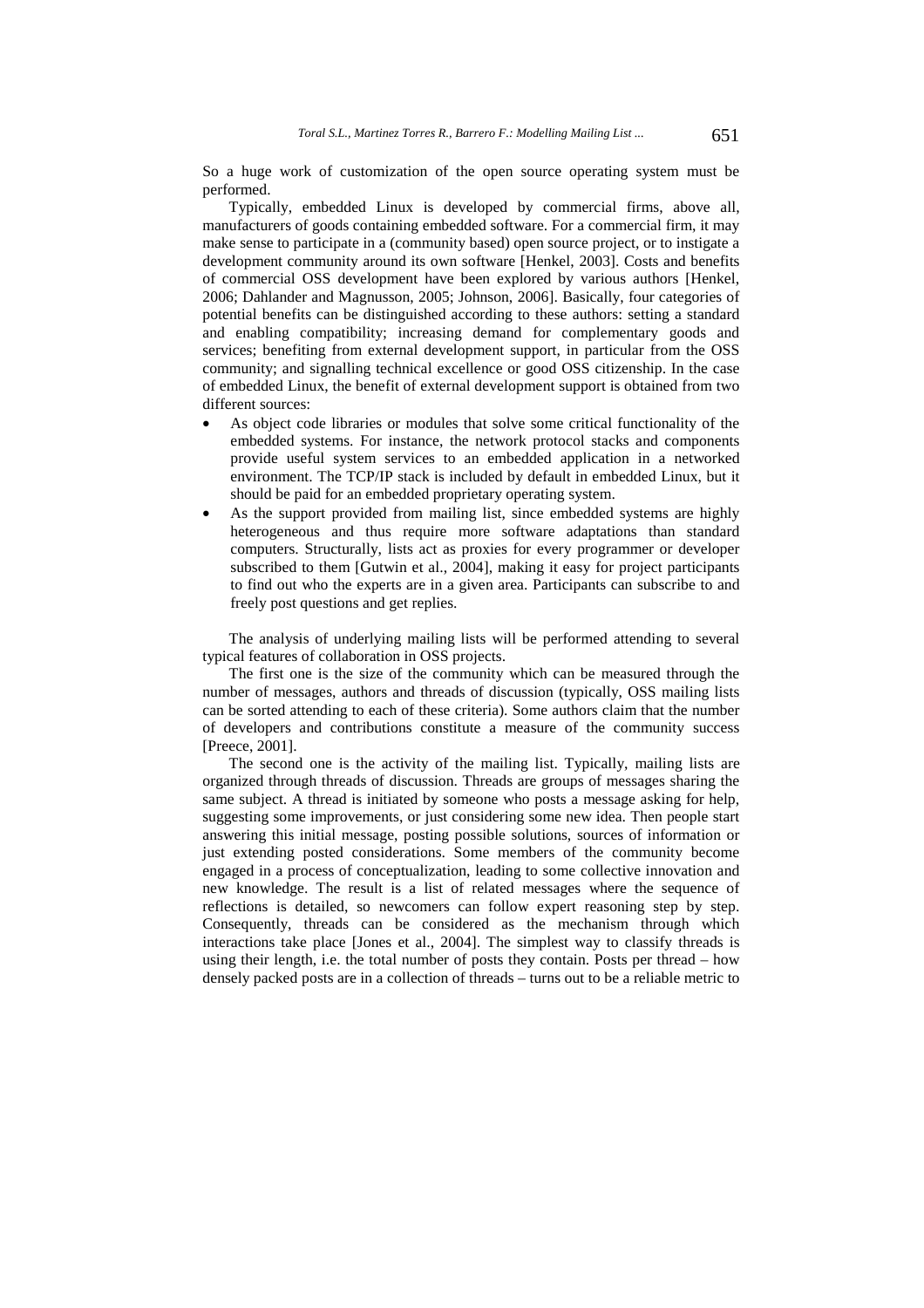So a huge work of customization of the open source operating system must be performed.

Typically, embedded Linux is developed by commercial firms, above all, manufacturers of goods containing embedded software. For a commercial firm, it may make sense to participate in a (community based) open source project, or to instigate a development community around its own software [Henkel, 2003]. Costs and benefits of commercial OSS development have been explored by various authors [Henkel, 2006; Dahlander and Magnusson, 2005; Johnson, 2006]. Basically, four categories of potential benefits can be distinguished according to these authors: setting a standard and enabling compatibility; increasing demand for complementary goods and services; benefiting from external development support, in particular from the OSS community; and signalling technical excellence or good OSS citizenship. In the case of embedded Linux, the benefit of external development support is obtained from two different sources:

- As object code libraries or modules that solve some critical functionality of the embedded systems. For instance, the network protocol stacks and components provide useful system services to an embedded application in a networked environment. The TCP/IP stack is included by default in embedded Linux, but it should be paid for an embedded proprietary operating system.
- As the support provided from mailing list, since embedded systems are highly heterogeneous and thus require more software adaptations than standard computers. Structurally, lists act as proxies for every programmer or developer subscribed to them [Gutwin et al., 2004], making it easy for project participants to find out who the experts are in a given area. Participants can subscribe to and freely post questions and get replies.

The analysis of underlying mailing lists will be performed attending to several typical features of collaboration in OSS projects.

The first one is the size of the community which can be measured through the number of messages, authors and threads of discussion (typically, OSS mailing lists can be sorted attending to each of these criteria). Some authors claim that the number of developers and contributions constitute a measure of the community success [Preece, 2001].

The second one is the activity of the mailing list. Typically, mailing lists are organized through threads of discussion. Threads are groups of messages sharing the same subject. A thread is initiated by someone who posts a message asking for help, suggesting some improvements, or just considering some new idea. Then people start answering this initial message, posting possible solutions, sources of information or just extending posted considerations. Some members of the community become engaged in a process of conceptualization, leading to some collective innovation and new knowledge. The result is a list of related messages where the sequence of reflections is detailed, so newcomers can follow expert reasoning step by step. Consequently, threads can be considered as the mechanism through which interactions take place [Jones et al., 2004]. The simplest way to classify threads is using their length, i.e. the total number of posts they contain. Posts per thread – how densely packed posts are in a collection of threads – turns out to be a reliable metric to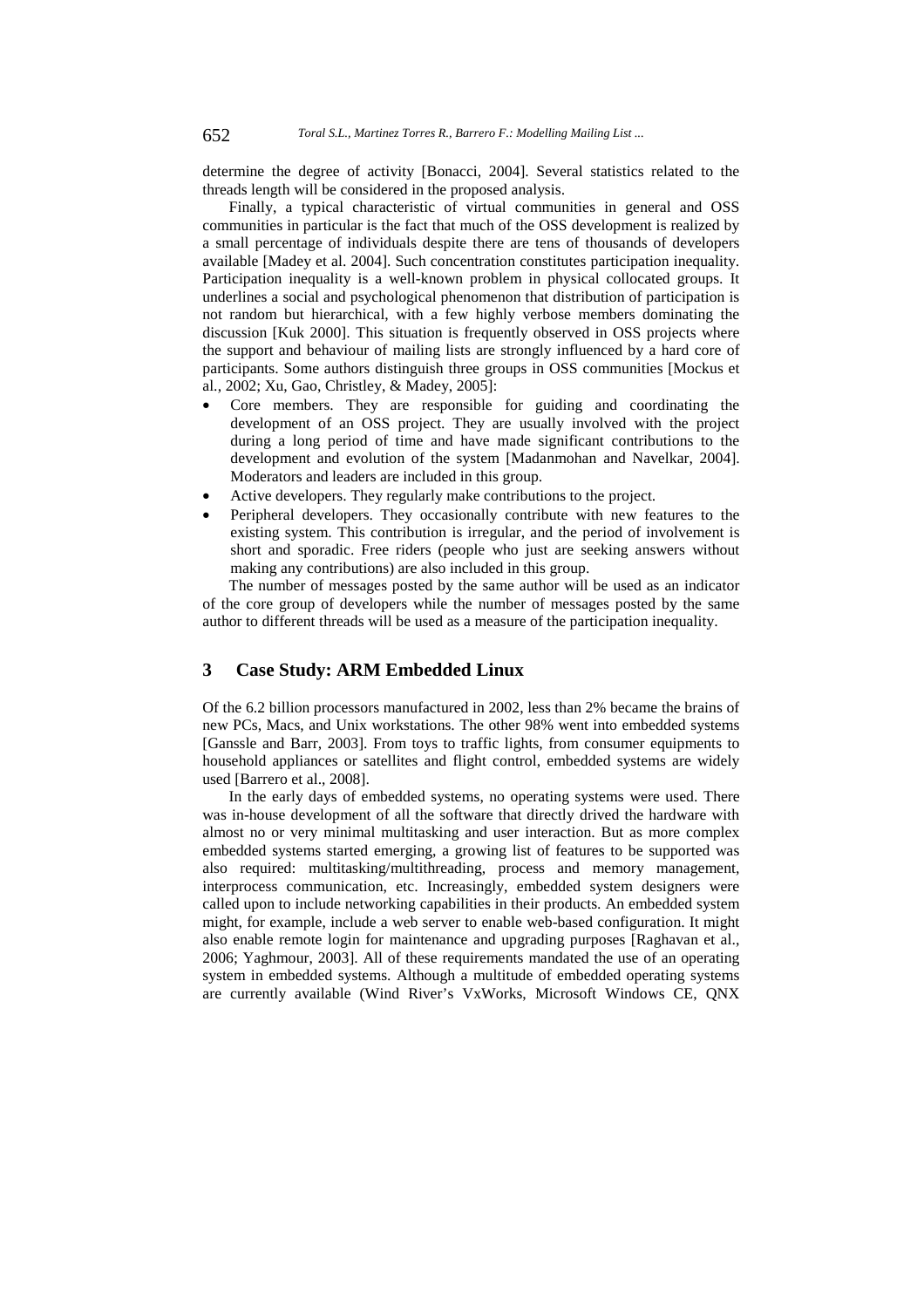determine the degree of activity [Bonacci, 2004]. Several statistics related to the threads length will be considered in the proposed analysis.

Finally, a typical characteristic of virtual communities in general and OSS communities in particular is the fact that much of the OSS development is realized by a small percentage of individuals despite there are tens of thousands of developers available [Madey et al. 2004]. Such concentration constitutes participation inequality. Participation inequality is a well-known problem in physical collocated groups. It underlines a social and psychological phenomenon that distribution of participation is not random but hierarchical, with a few highly verbose members dominating the discussion [Kuk 2000]. This situation is frequently observed in OSS projects where the support and behaviour of mailing lists are strongly influenced by a hard core of participants. Some authors distinguish three groups in OSS communities [Mockus et al., 2002; Xu, Gao, Christley, & Madey, 2005]:

- Core members. They are responsible for guiding and coordinating the development of an OSS project. They are usually involved with the project during a long period of time and have made significant contributions to the development and evolution of the system [Madanmohan and Navelkar, 2004]. Moderators and leaders are included in this group.
- Active developers. They regularly make contributions to the project.
- Peripheral developers. They occasionally contribute with new features to the existing system. This contribution is irregular, and the period of involvement is short and sporadic. Free riders (people who just are seeking answers without making any contributions) are also included in this group.

The number of messages posted by the same author will be used as an indicator of the core group of developers while the number of messages posted by the same author to different threads will be used as a measure of the participation inequality.

# **3 Case Study: ARM Embedded Linux**

Of the 6.2 billion processors manufactured in 2002, less than 2% became the brains of new PCs, Macs, and Unix workstations. The other 98% went into embedded systems [Ganssle and Barr, 2003]. From toys to traffic lights, from consumer equipments to household appliances or satellites and flight control, embedded systems are widely used [Barrero et al., 2008].

In the early days of embedded systems, no operating systems were used. There was in-house development of all the software that directly drived the hardware with almost no or very minimal multitasking and user interaction. But as more complex embedded systems started emerging, a growing list of features to be supported was also required: multitasking/multithreading, process and memory management, interprocess communication, etc. Increasingly, embedded system designers were called upon to include networking capabilities in their products. An embedded system might, for example, include a web server to enable web-based configuration. It might also enable remote login for maintenance and upgrading purposes [Raghavan et al., 2006; Yaghmour, 2003]. All of these requirements mandated the use of an operating system in embedded systems. Although a multitude of embedded operating systems are currently available (Wind River's VxWorks, Microsoft Windows CE, QNX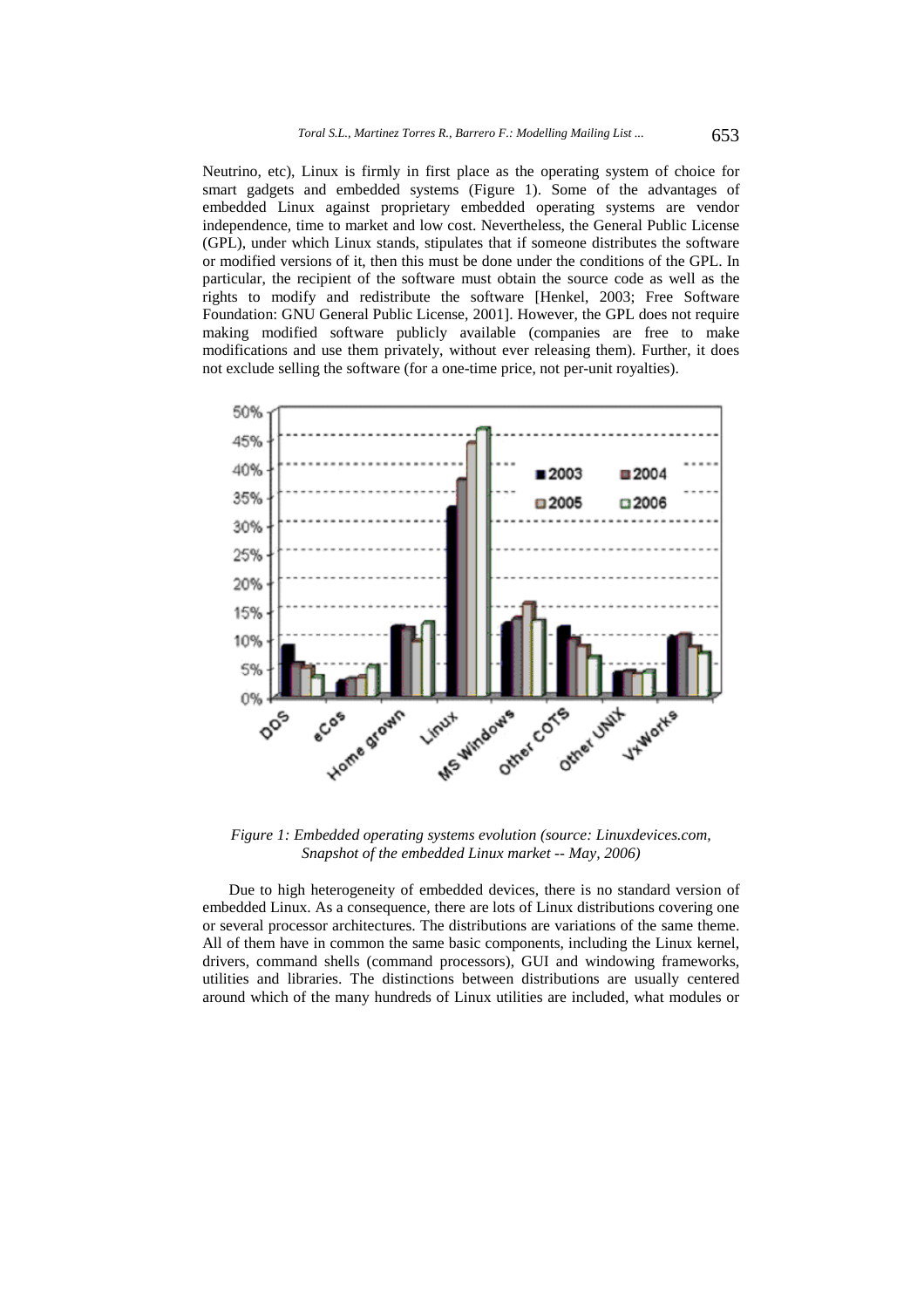Neutrino, etc), Linux is firmly in first place as the operating system of choice for smart gadgets and embedded systems (Figure 1). Some of the advantages of embedded Linux against proprietary embedded operating systems are vendor independence, time to market and low cost. Nevertheless, the General Public License (GPL), under which Linux stands, stipulates that if someone distributes the software or modified versions of it, then this must be done under the conditions of the GPL. In particular, the recipient of the software must obtain the source code as well as the rights to modify and redistribute the software [Henkel, 2003; Free Software Foundation: GNU General Public License, 2001]. However, the GPL does not require making modified software publicly available (companies are free to make modifications and use them privately, without ever releasing them). Further, it does not exclude selling the software (for a one-time price, not per-unit royalties).



*Figure 1: Embedded operating systems evolution (source: Linuxdevices.com, Snapshot of the embedded Linux market -- May, 2006)* 

Due to high heterogeneity of embedded devices, there is no standard version of embedded Linux. As a consequence, there are lots of Linux distributions covering one or several processor architectures. The distributions are variations of the same theme. All of them have in common the same basic components, including the Linux kernel, drivers, command shells (command processors), GUI and windowing frameworks, utilities and libraries. The distinctions between distributions are usually centered around which of the many hundreds of Linux utilities are included, what modules or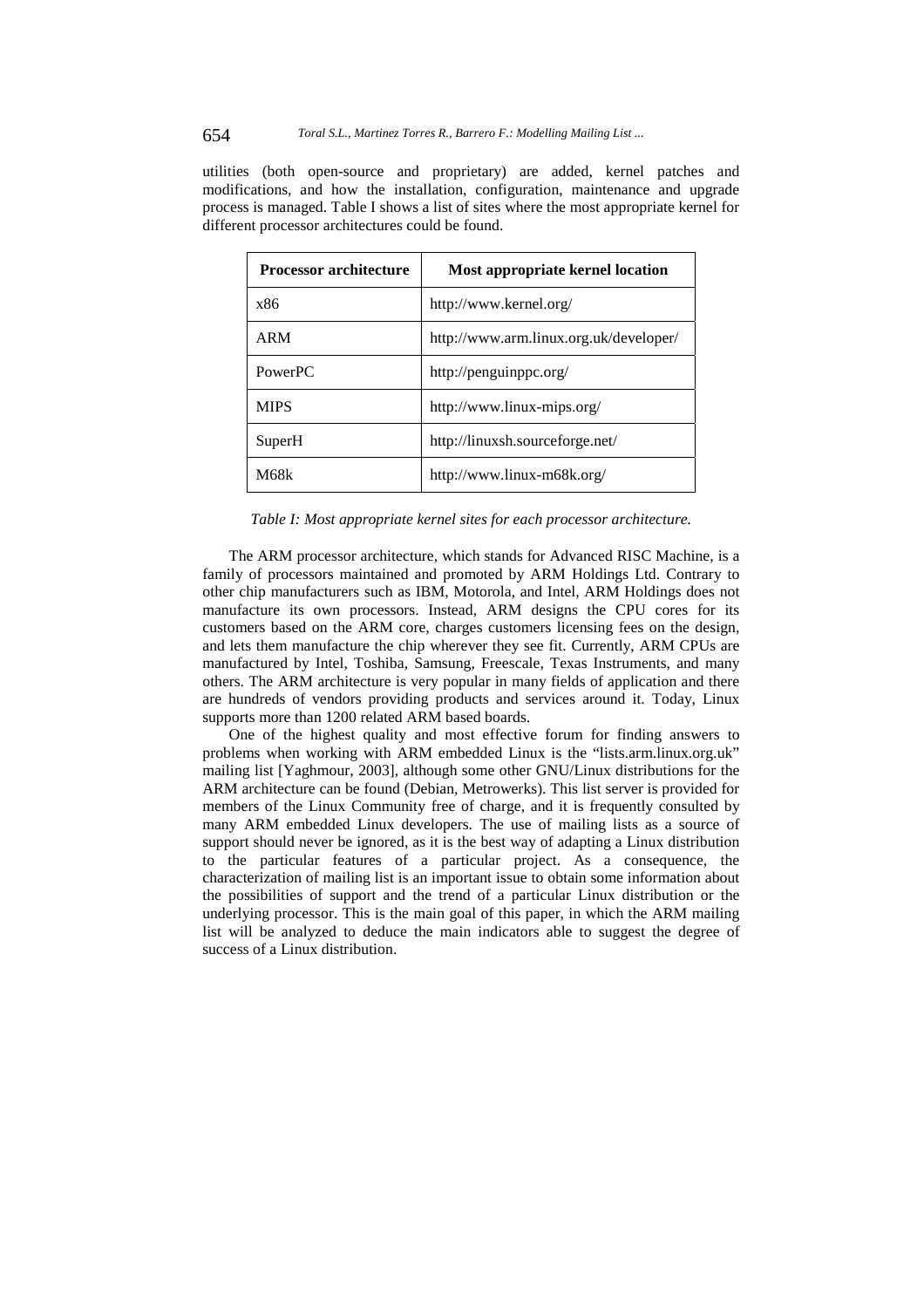utilities (both open-source and proprietary) are added, kernel patches and modifications, and how the installation, configuration, maintenance and upgrade process is managed. Table I shows a list of sites where the most appropriate kernel for different processor architectures could be found.

| <b>Processor architecture</b> | Most appropriate kernel location       |
|-------------------------------|----------------------------------------|
| x86                           | http://www.kernel.org/                 |
| <b>ARM</b>                    | http://www.arm.linux.org.uk/developer/ |
| PowerPC                       | http://penguinppc.org/                 |
| <b>MIPS</b>                   | http://www.linux-mips.org/             |
| SuperH                        | http://linuxsh.sourceforge.net/        |
| M68k                          | http://www.linux-m68k.org/             |

*Table I: Most appropriate kernel sites for each processor architecture.* 

The ARM processor architecture, which stands for Advanced RISC Machine, is a family of processors maintained and promoted by ARM Holdings Ltd. Contrary to other chip manufacturers such as IBM, Motorola, and Intel, ARM Holdings does not manufacture its own processors. Instead, ARM designs the CPU cores for its customers based on the ARM core, charges customers licensing fees on the design, and lets them manufacture the chip wherever they see fit. Currently, ARM CPUs are manufactured by Intel, Toshiba, Samsung, Freescale, Texas Instruments, and many others. The ARM architecture is very popular in many fields of application and there are hundreds of vendors providing products and services around it. Today, Linux supports more than 1200 related ARM based boards.

One of the highest quality and most effective forum for finding answers to problems when working with ARM embedded Linux is the "lists.arm.linux.org.uk" mailing list [Yaghmour, 2003], although some other GNU/Linux distributions for the ARM architecture can be found (Debian, Metrowerks). This list server is provided for members of the Linux Community free of charge, and it is frequently consulted by many ARM embedded Linux developers. The use of mailing lists as a source of support should never be ignored, as it is the best way of adapting a Linux distribution to the particular features of a particular project. As a consequence, the characterization of mailing list is an important issue to obtain some information about the possibilities of support and the trend of a particular Linux distribution or the underlying processor. This is the main goal of this paper, in which the ARM mailing list will be analyzed to deduce the main indicators able to suggest the degree of success of a Linux distribution.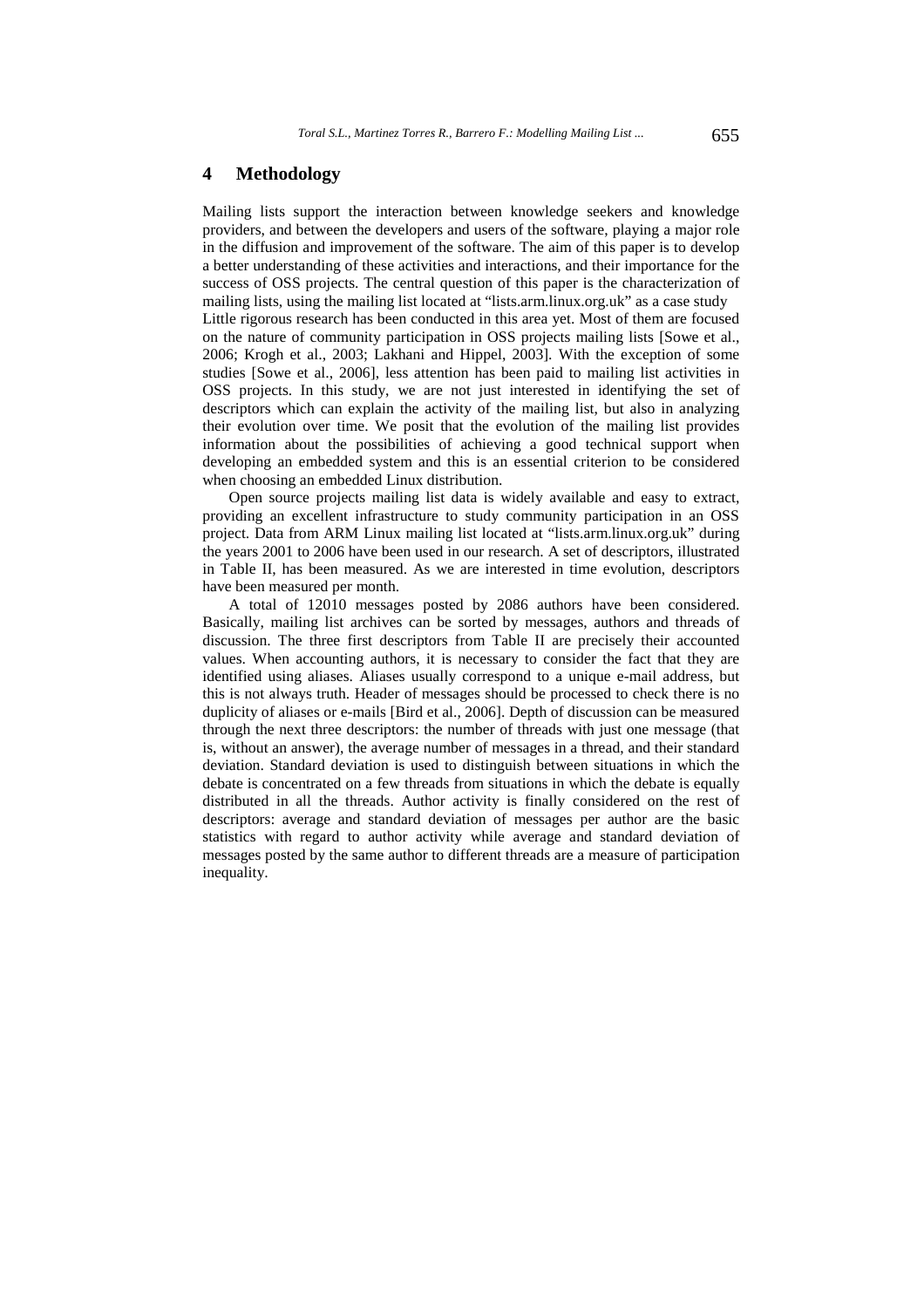### **4 Methodology**

Mailing lists support the interaction between knowledge seekers and knowledge providers, and between the developers and users of the software, playing a major role in the diffusion and improvement of the software. The aim of this paper is to develop a better understanding of these activities and interactions, and their importance for the success of OSS projects. The central question of this paper is the characterization of mailing lists, using the mailing list located at "lists.arm.linux.org.uk" as a case study Little rigorous research has been conducted in this area yet. Most of them are focused on the nature of community participation in OSS projects mailing lists [Sowe et al., 2006; Krogh et al., 2003; Lakhani and Hippel, 2003]. With the exception of some studies [Sowe et al., 2006], less attention has been paid to mailing list activities in OSS projects. In this study, we are not just interested in identifying the set of descriptors which can explain the activity of the mailing list, but also in analyzing their evolution over time. We posit that the evolution of the mailing list provides information about the possibilities of achieving a good technical support when developing an embedded system and this is an essential criterion to be considered when choosing an embedded Linux distribution.

Open source projects mailing list data is widely available and easy to extract, providing an excellent infrastructure to study community participation in an OSS project. Data from ARM Linux mailing list located at "lists.arm.linux.org.uk" during the years 2001 to 2006 have been used in our research. A set of descriptors, illustrated in Table II, has been measured. As we are interested in time evolution, descriptors have been measured per month.

A total of 12010 messages posted by 2086 authors have been considered. Basically, mailing list archives can be sorted by messages, authors and threads of discussion. The three first descriptors from Table II are precisely their accounted values. When accounting authors, it is necessary to consider the fact that they are identified using aliases. Aliases usually correspond to a unique e-mail address, but this is not always truth. Header of messages should be processed to check there is no duplicity of aliases or e-mails [Bird et al., 2006]. Depth of discussion can be measured through the next three descriptors: the number of threads with just one message (that is, without an answer), the average number of messages in a thread, and their standard deviation. Standard deviation is used to distinguish between situations in which the debate is concentrated on a few threads from situations in which the debate is equally distributed in all the threads. Author activity is finally considered on the rest of descriptors: average and standard deviation of messages per author are the basic statistics with regard to author activity while average and standard deviation of messages posted by the same author to different threads are a measure of participation inequality.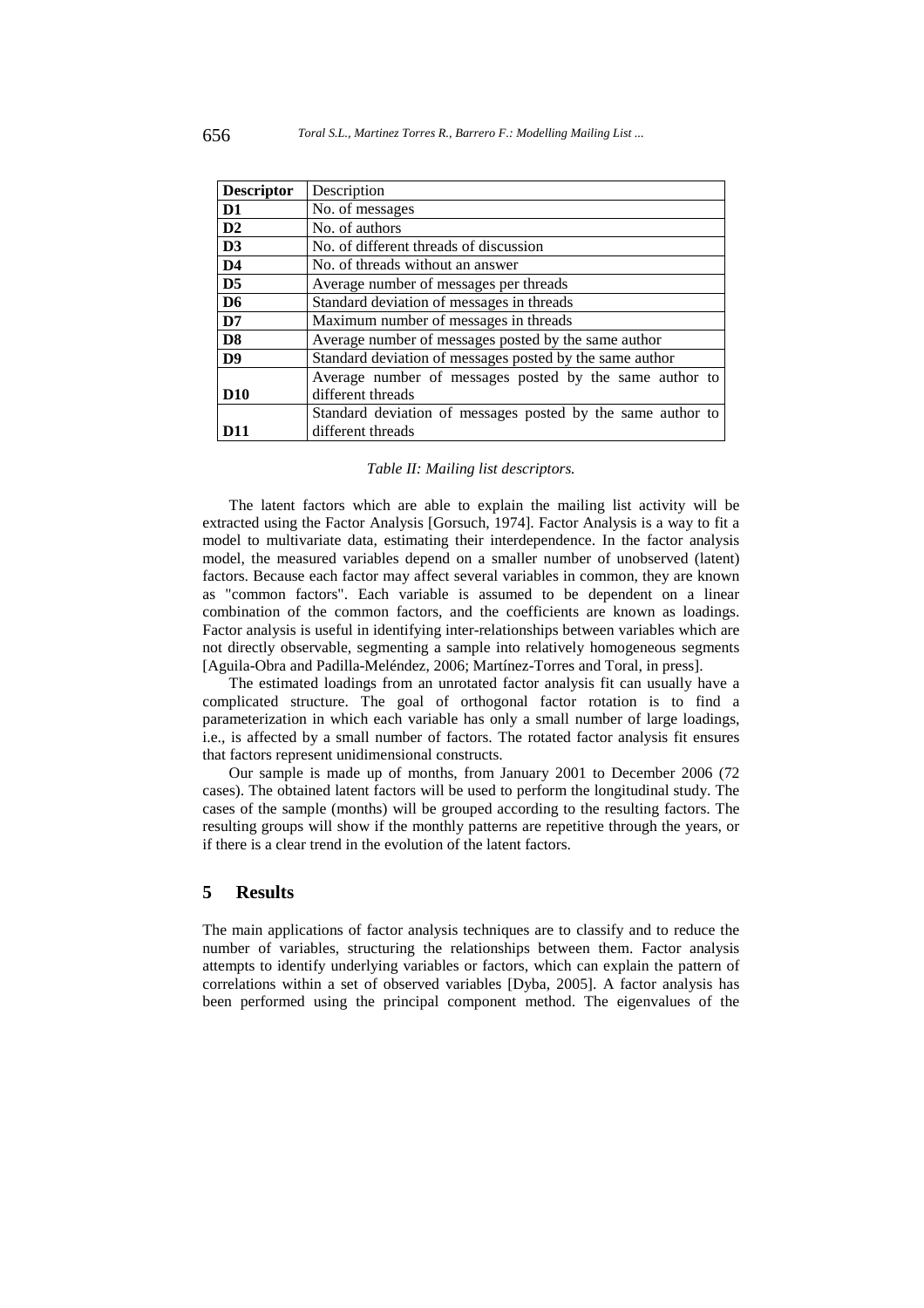| <b>Descriptor</b> | Description                                                 |
|-------------------|-------------------------------------------------------------|
| D <sub>1</sub>    | No. of messages                                             |
| D2                | No. of authors                                              |
| D <sub>3</sub>    | No. of different threads of discussion                      |
| D <sub>4</sub>    | No. of threads without an answer                            |
| D <sub>5</sub>    | Average number of messages per threads                      |
| D <sub>6</sub>    | Standard deviation of messages in threads                   |
| D7                | Maximum number of messages in threads                       |
| D <sub>8</sub>    | Average number of messages posted by the same author        |
| D <sub>9</sub>    | Standard deviation of messages posted by the same author    |
|                   | Average number of messages posted by the same author to     |
| <b>D10</b>        | different threads                                           |
|                   | Standard deviation of messages posted by the same author to |
| D11               | different threads                                           |

#### *Table II: Mailing list descriptors.*

The latent factors which are able to explain the mailing list activity will be extracted using the Factor Analysis [Gorsuch, 1974]. Factor Analysis is a way to fit a model to multivariate data, estimating their interdependence. In the factor analysis model, the measured variables depend on a smaller number of unobserved (latent) factors. Because each factor may affect several variables in common, they are known as "common factors". Each variable is assumed to be dependent on a linear combination of the common factors, and the coefficients are known as loadings. Factor analysis is useful in identifying inter-relationships between variables which are not directly observable, segmenting a sample into relatively homogeneous segments [Aguila-Obra and Padilla-Meléndez, 2006; Martínez-Torres and Toral, in press].

The estimated loadings from an unrotated factor analysis fit can usually have a complicated structure. The goal of orthogonal factor rotation is to find a parameterization in which each variable has only a small number of large loadings, i.e., is affected by a small number of factors. The rotated factor analysis fit ensures that factors represent unidimensional constructs.

Our sample is made up of months, from January 2001 to December 2006 (72 cases). The obtained latent factors will be used to perform the longitudinal study. The cases of the sample (months) will be grouped according to the resulting factors. The resulting groups will show if the monthly patterns are repetitive through the years, or if there is a clear trend in the evolution of the latent factors.

## **5 Results**

The main applications of factor analysis techniques are to classify and to reduce the number of variables, structuring the relationships between them. Factor analysis attempts to identify underlying variables or factors, which can explain the pattern of correlations within a set of observed variables [Dyba, 2005]. A factor analysis has been performed using the principal component method. The eigenvalues of the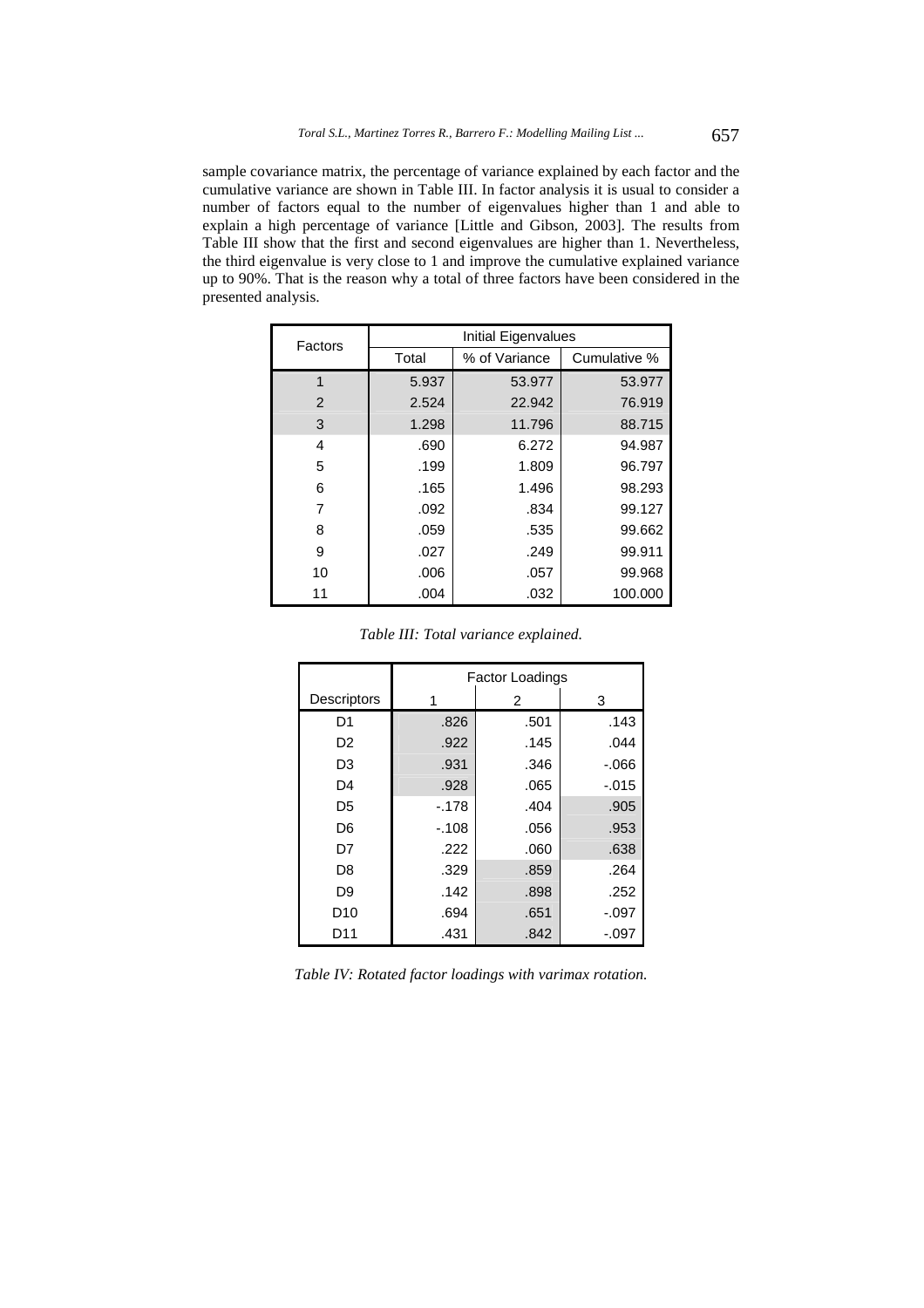sample covariance matrix, the percentage of variance explained by each factor and the cumulative variance are shown in Table III. In factor analysis it is usual to consider a number of factors equal to the number of eigenvalues higher than 1 and able to explain a high percentage of variance [Little and Gibson, 2003]. The results from Table III show that the first and second eigenvalues are higher than 1. Nevertheless, the third eigenvalue is very close to 1 and improve the cumulative explained variance up to 90%. That is the reason why a total of three factors have been considered in the presented analysis.

| Factors | Initial Eigenvalues |               |              |  |  |  |
|---------|---------------------|---------------|--------------|--|--|--|
|         | Total               | % of Variance | Cumulative % |  |  |  |
| 1       | 5.937               | 53.977        | 53.977       |  |  |  |
| 2       | 2.524               | 22.942        | 76.919       |  |  |  |
| 3       | 1.298               | 11.796        | 88.715       |  |  |  |
| 4       | .690                | 6.272         | 94.987       |  |  |  |
| 5       | .199                | 1.809         | 96.797       |  |  |  |
| 6       | .165                | 1.496         | 98.293       |  |  |  |
| 7       | .092                | .834          | 99.127       |  |  |  |
| 8       | .059                | .535          | 99.662       |  |  |  |
| 9       | .027                | .249          | 99.911       |  |  |  |
| 10      | .006                | .057          | 99.968       |  |  |  |
| 11      | .004                | .032          | 100.000      |  |  |  |

|                 | <b>Factor Loadings</b> |      |          |  |  |  |  |
|-----------------|------------------------|------|----------|--|--|--|--|
| Descriptors     |                        | 2    | 3        |  |  |  |  |
| D <sub>1</sub>  | .826                   | .501 | .143     |  |  |  |  |
| D <sub>2</sub>  | .922                   | .145 | .044     |  |  |  |  |
| D <sub>3</sub>  | .931                   | .346 | $-066$   |  |  |  |  |
| D4              | .928                   | .065 | $-0.015$ |  |  |  |  |
| D <sub>5</sub>  | $-.178$                | .404 | .905     |  |  |  |  |
| D <sub>6</sub>  | $-.108$                | .056 | .953     |  |  |  |  |
| D7              | .222                   | .060 | .638     |  |  |  |  |
| D <sub>8</sub>  | .329                   | .859 | .264     |  |  |  |  |
| D <sub>9</sub>  | .142                   | .898 | .252     |  |  |  |  |
| D <sub>10</sub> | .694                   | .651 | $-.097$  |  |  |  |  |
| D11             | .431                   | .842 | $-.097$  |  |  |  |  |

*Table IV: Rotated factor loadings with varimax rotation.*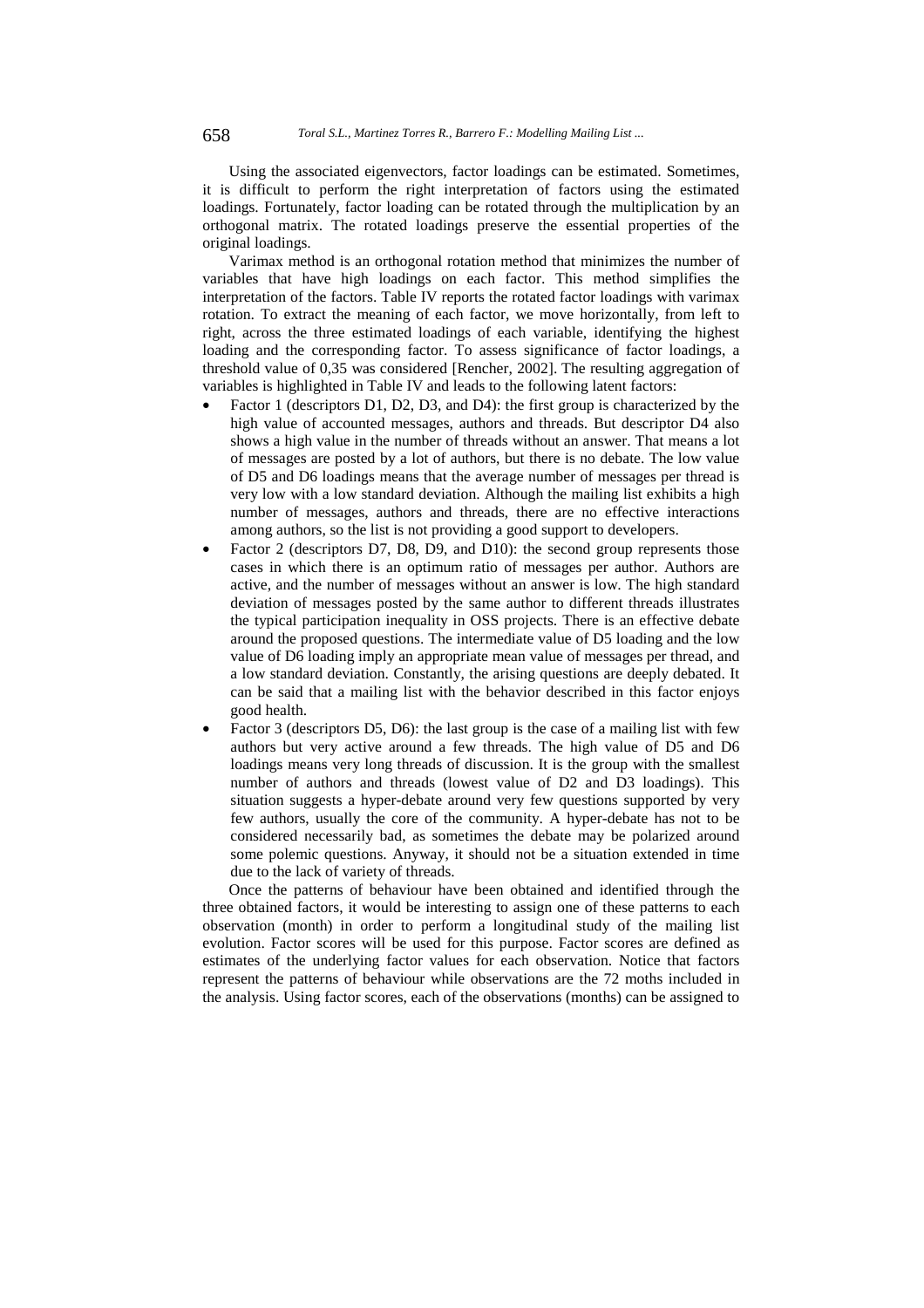Using the associated eigenvectors, factor loadings can be estimated. Sometimes, it is difficult to perform the right interpretation of factors using the estimated loadings. Fortunately, factor loading can be rotated through the multiplication by an orthogonal matrix. The rotated loadings preserve the essential properties of the original loadings.

Varimax method is an orthogonal rotation method that minimizes the number of variables that have high loadings on each factor. This method simplifies the interpretation of the factors. Table IV reports the rotated factor loadings with varimax rotation. To extract the meaning of each factor, we move horizontally, from left to right, across the three estimated loadings of each variable, identifying the highest loading and the corresponding factor. To assess significance of factor loadings, a threshold value of 0,35 was considered [Rencher, 2002]. The resulting aggregation of variables is highlighted in Table IV and leads to the following latent factors:

- Factor 1 (descriptors D1, D2, D3, and D4): the first group is characterized by the high value of accounted messages, authors and threads. But descriptor D4 also shows a high value in the number of threads without an answer. That means a lot of messages are posted by a lot of authors, but there is no debate. The low value of D5 and D6 loadings means that the average number of messages per thread is very low with a low standard deviation. Although the mailing list exhibits a high number of messages, authors and threads, there are no effective interactions among authors, so the list is not providing a good support to developers.
- Factor 2 (descriptors D7, D8, D9, and D10): the second group represents those cases in which there is an optimum ratio of messages per author. Authors are active, and the number of messages without an answer is low. The high standard deviation of messages posted by the same author to different threads illustrates the typical participation inequality in OSS projects. There is an effective debate around the proposed questions. The intermediate value of D5 loading and the low value of D6 loading imply an appropriate mean value of messages per thread, and a low standard deviation. Constantly, the arising questions are deeply debated. It can be said that a mailing list with the behavior described in this factor enjoys good health.
- Factor 3 (descriptors D5, D6): the last group is the case of a mailing list with few authors but very active around a few threads. The high value of D5 and D6 loadings means very long threads of discussion. It is the group with the smallest number of authors and threads (lowest value of D2 and D3 loadings). This situation suggests a hyper-debate around very few questions supported by very few authors, usually the core of the community. A hyper-debate has not to be considered necessarily bad, as sometimes the debate may be polarized around some polemic questions. Anyway, it should not be a situation extended in time due to the lack of variety of threads.

Once the patterns of behaviour have been obtained and identified through the three obtained factors, it would be interesting to assign one of these patterns to each observation (month) in order to perform a longitudinal study of the mailing list evolution. Factor scores will be used for this purpose. Factor scores are defined as estimates of the underlying factor values for each observation. Notice that factors represent the patterns of behaviour while observations are the 72 moths included in the analysis. Using factor scores, each of the observations (months) can be assigned to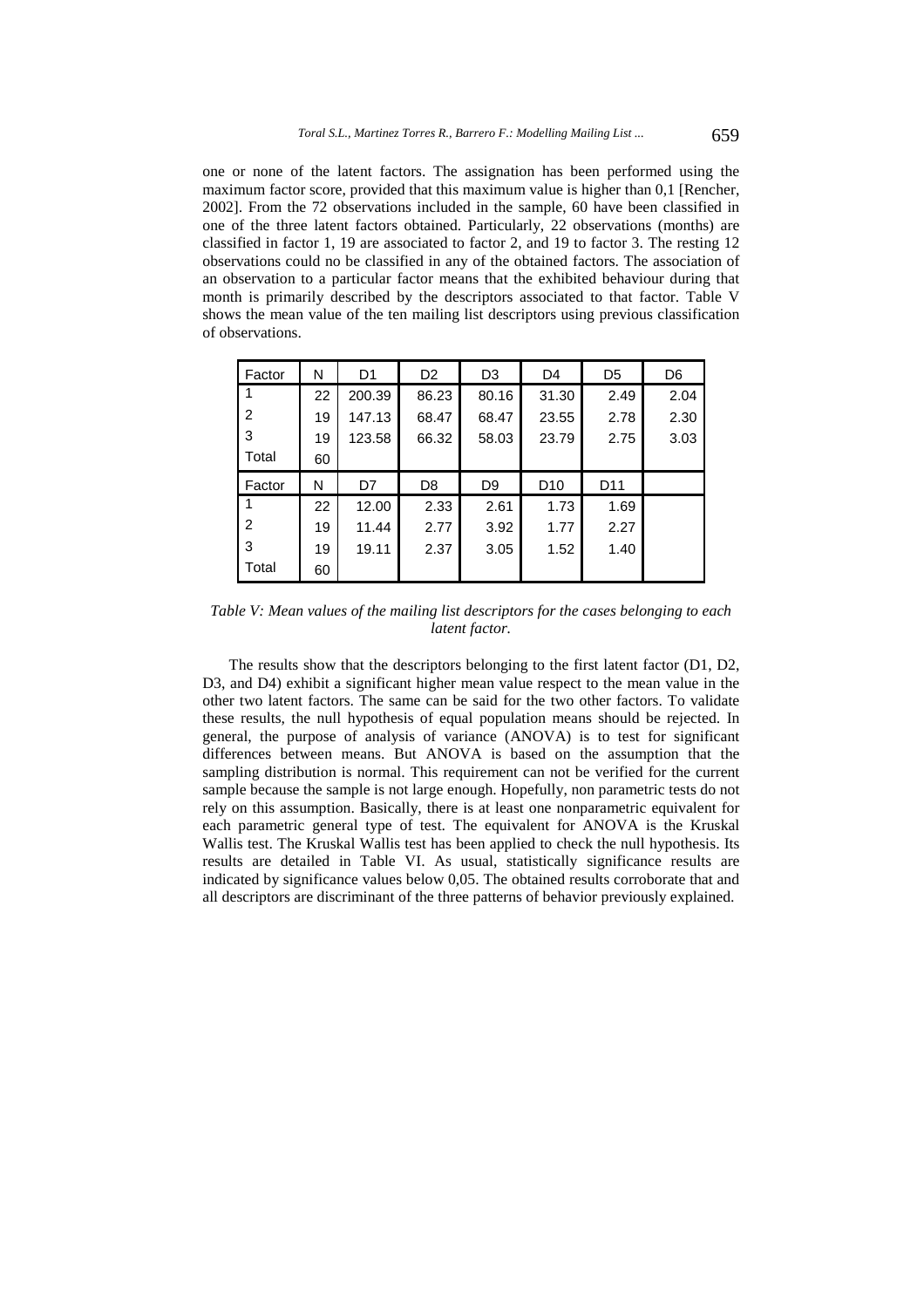one or none of the latent factors. The assignation has been performed using the maximum factor score, provided that this maximum value is higher than 0,1 [Rencher, 2002]. From the 72 observations included in the sample, 60 have been classified in one of the three latent factors obtained. Particularly, 22 observations (months) are classified in factor 1, 19 are associated to factor 2, and 19 to factor 3. The resting 12 observations could no be classified in any of the obtained factors. The association of an observation to a particular factor means that the exhibited behaviour during that month is primarily described by the descriptors associated to that factor. Table V shows the mean value of the ten mailing list descriptors using previous classification of observations.

| Factor | N  | D <sub>1</sub> | D <sub>2</sub> | D <sub>3</sub> | D4              | D <sub>5</sub>  | D <sub>6</sub> |  |
|--------|----|----------------|----------------|----------------|-----------------|-----------------|----------------|--|
|        | 22 | 200.39         | 86.23          | 80.16          | 31.30           | 2.49            | 2.04           |  |
| 2      | 19 | 147.13         | 68.47          | 68.47          | 23.55           | 2.78            | 2.30           |  |
| 3      | 19 | 123.58         | 66.32          | 58.03          | 23.79           | 2.75            | 3.03           |  |
| Total  | 60 |                |                |                |                 |                 |                |  |
| Factor | N  | D7             | D8             | D <sub>9</sub> | D <sub>10</sub> | D <sub>11</sub> |                |  |
|        | 22 | 12.00          | 2.33           | 2.61           | 1.73            | 1.69            |                |  |
|        |    |                |                |                |                 |                 |                |  |
| 2      | 19 | 11.44          | 2.77           | 3.92           | 1.77            | 2.27            |                |  |
| 3      | 19 | 19.11          | 2.37           | 3.05           | 1.52            | 1.40            |                |  |

*Table V: Mean values of the mailing list descriptors for the cases belonging to each latent factor.* 

The results show that the descriptors belonging to the first latent factor (D1, D2, D3, and D4) exhibit a significant higher mean value respect to the mean value in the other two latent factors. The same can be said for the two other factors. To validate these results, the null hypothesis of equal population means should be rejected. In general, the purpose of analysis of variance (ANOVA) is to test for significant differences between means. But ANOVA is based on the assumption that the sampling distribution is normal. This requirement can not be verified for the current sample because the sample is not large enough. Hopefully, non parametric tests do not rely on this assumption. Basically, there is at least one nonparametric equivalent for each parametric general type of test. The equivalent for ANOVA is the Kruskal Wallis test. The Kruskal Wallis test has been applied to check the null hypothesis. Its results are detailed in Table VI. As usual, statistically significance results are indicated by significance values below 0,05. The obtained results corroborate that and all descriptors are discriminant of the three patterns of behavior previously explained.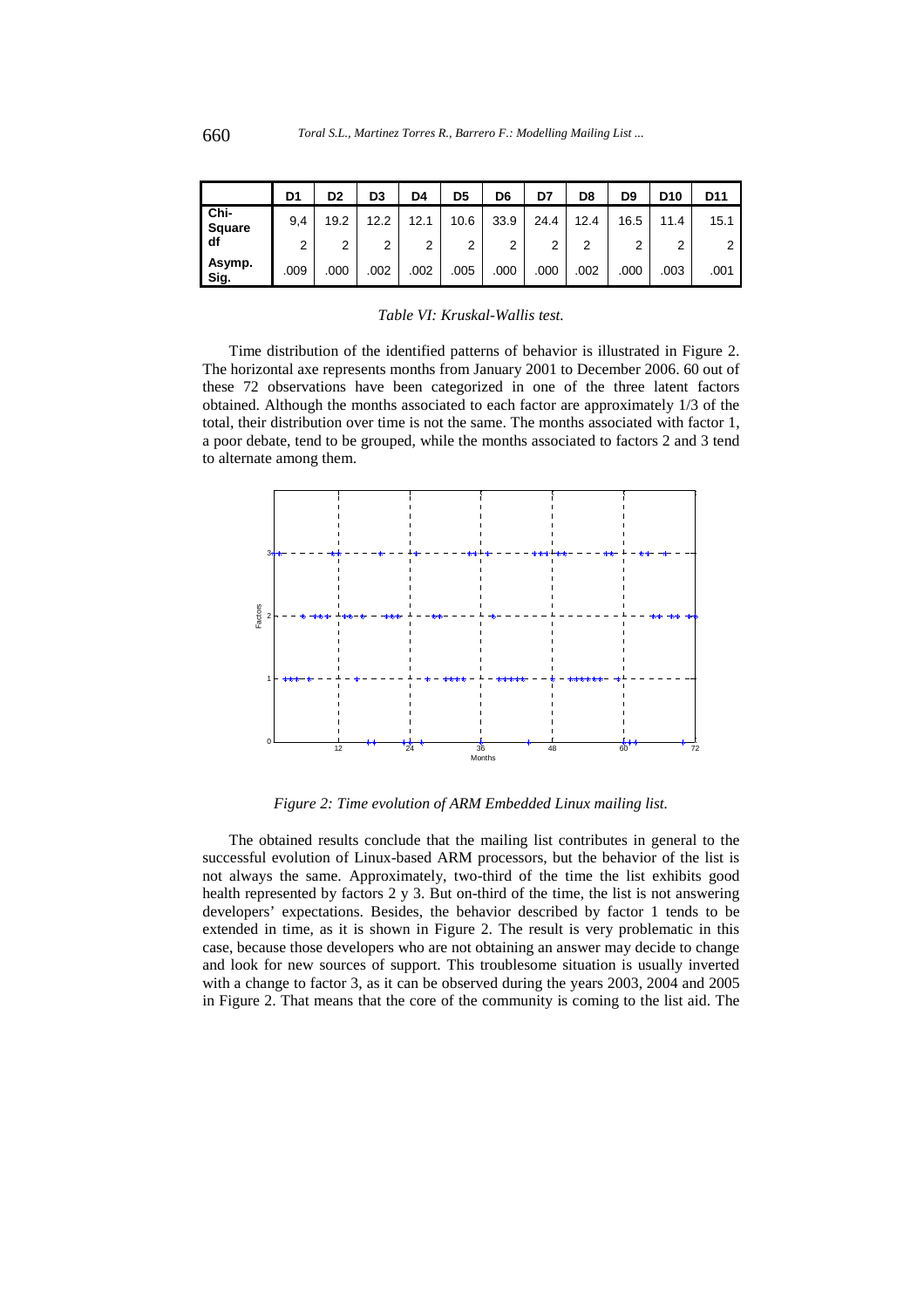|                       | D1   | D2   | D <sub>3</sub> | D4   | D5   | D6   | D7   | D8   | D9   | D <sub>10</sub> | D11  |
|-----------------------|------|------|----------------|------|------|------|------|------|------|-----------------|------|
| Chi-<br><b>Square</b> | 9.4  | 19.2 | 12.2           | 12.1 | 10.6 | 33.9 | 24.4 | 12.4 | 16.5 | 11.4            | 15.1 |
| df                    | 2    | 2    | 2              | 2    | າ    | ົ    | ◠    | 2    | ົ    | ົ               | 2    |
| Asymp.<br>Sig.        | .009 | .000 | .002           | .002 | .005 | .000 | .000 | .002 | .000 | .003            | .001 |

*Table VI: Kruskal-Wallis test.* 

Time distribution of the identified patterns of behavior is illustrated in Figure 2. The horizontal axe represents months from January 2001 to December 2006. 60 out of these 72 observations have been categorized in one of the three latent factors obtained. Although the months associated to each factor are approximately 1/3 of the total, their distribution over time is not the same. The months associated with factor 1, a poor debate, tend to be grouped, while the months associated to factors 2 and 3 tend to alternate among them.



*Figure 2: Time evolution of ARM Embedded Linux mailing list.* 

The obtained results conclude that the mailing list contributes in general to the successful evolution of Linux-based ARM processors, but the behavior of the list is not always the same. Approximately, two-third of the time the list exhibits good health represented by factors 2 y 3. But on-third of the time, the list is not answering developers' expectations. Besides, the behavior described by factor 1 tends to be extended in time, as it is shown in Figure 2. The result is very problematic in this case, because those developers who are not obtaining an answer may decide to change and look for new sources of support. This troublesome situation is usually inverted with a change to factor 3, as it can be observed during the years 2003, 2004 and 2005 in Figure 2. That means that the core of the community is coming to the list aid. The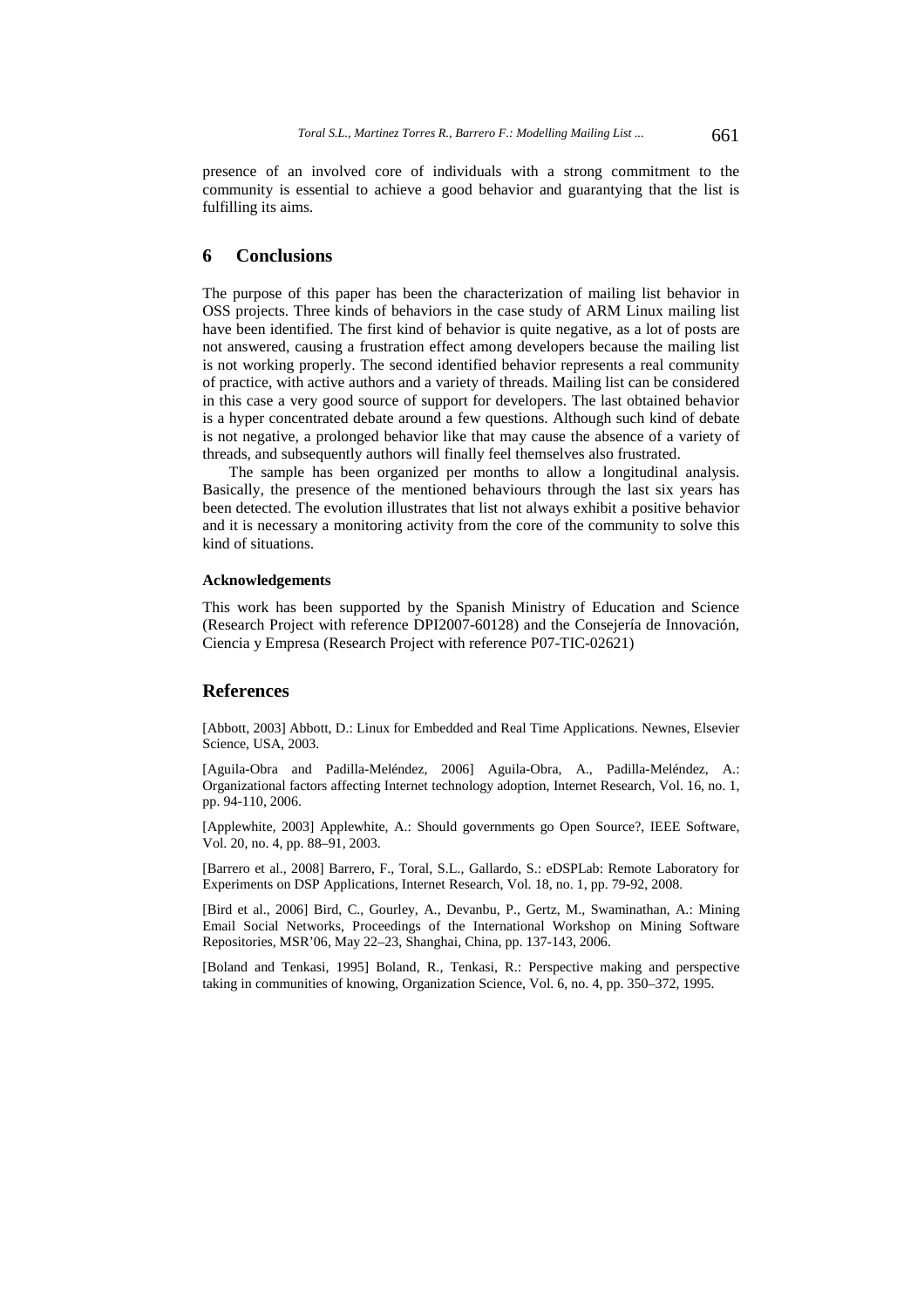presence of an involved core of individuals with a strong commitment to the community is essential to achieve a good behavior and guarantying that the list is fulfilling its aims.

### **6 Conclusions**

The purpose of this paper has been the characterization of mailing list behavior in OSS projects. Three kinds of behaviors in the case study of ARM Linux mailing list have been identified. The first kind of behavior is quite negative, as a lot of posts are not answered, causing a frustration effect among developers because the mailing list is not working properly. The second identified behavior represents a real community of practice, with active authors and a variety of threads. Mailing list can be considered in this case a very good source of support for developers. The last obtained behavior is a hyper concentrated debate around a few questions. Although such kind of debate is not negative, a prolonged behavior like that may cause the absence of a variety of threads, and subsequently authors will finally feel themselves also frustrated.

The sample has been organized per months to allow a longitudinal analysis. Basically, the presence of the mentioned behaviours through the last six years has been detected. The evolution illustrates that list not always exhibit a positive behavior and it is necessary a monitoring activity from the core of the community to solve this kind of situations.

#### **Acknowledgements**

This work has been supported by the Spanish Ministry of Education and Science (Research Project with reference DPI2007-60128) and the Consejería de Innovación, Ciencia y Empresa (Research Project with reference P07-TIC-02621)

### **References**

[Abbott, 2003] Abbott, D.: Linux for Embedded and Real Time Applications. Newnes, Elsevier Science, USA, 2003.

[Aguila-Obra and Padilla-Meléndez, 2006] Aguila-Obra, A., Padilla-Meléndez, A.: Organizational factors affecting Internet technology adoption, Internet Research, Vol. 16, no. 1, pp. 94-110, 2006.

[Applewhite, 2003] Applewhite, A.: Should governments go Open Source?, IEEE Software, Vol. 20, no. 4, pp. 88–91, 2003.

[Barrero et al., 2008] Barrero, F., Toral, S.L., Gallardo, S.: eDSPLab: Remote Laboratory for Experiments on DSP Applications, Internet Research, Vol. 18, no. 1, pp. 79-92, 2008.

[Bird et al., 2006] Bird, C., Gourley, A., Devanbu, P., Gertz, M., Swaminathan, A.: Mining Email Social Networks, Proceedings of the International Workshop on Mining Software Repositories, MSR'06, May 22–23, Shanghai, China, pp. 137-143, 2006.

[Boland and Tenkasi, 1995] Boland, R., Tenkasi, R.: Perspective making and perspective taking in communities of knowing, Organization Science, Vol. 6, no. 4, pp. 350–372, 1995.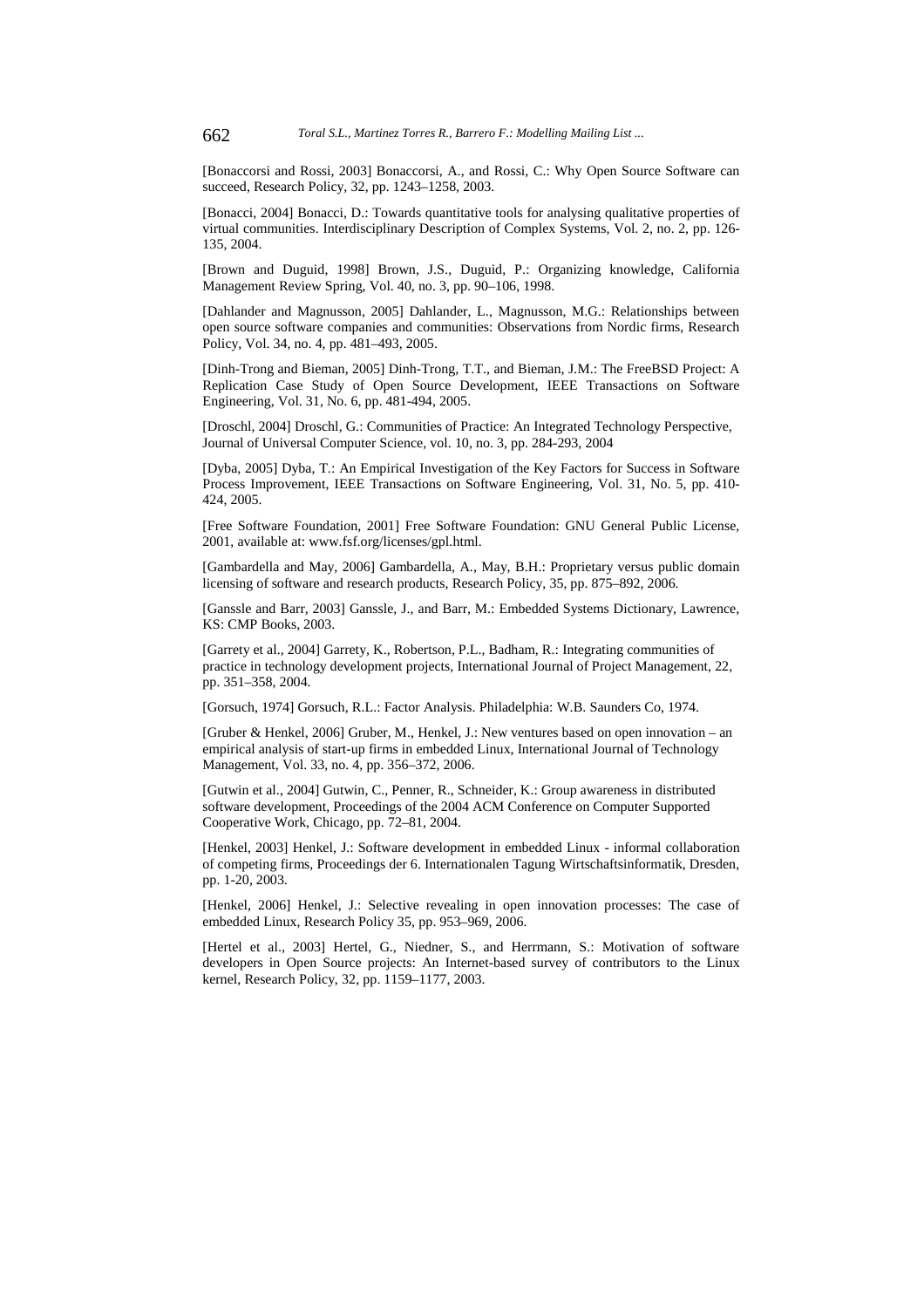[Bonaccorsi and Rossi, 2003] Bonaccorsi, A., and Rossi, C.: Why Open Source Software can succeed, Research Policy, 32, pp. 1243–1258, 2003.

[Bonacci, 2004] Bonacci, D.: Towards quantitative tools for analysing qualitative properties of virtual communities. Interdisciplinary Description of Complex Systems, Vol. 2, no. 2, pp. 126- 135, 2004.

[Brown and Duguid, 1998] Brown, J.S., Duguid, P.: Organizing knowledge, California Management Review Spring, Vol. 40, no. 3, pp. 90–106, 1998.

[Dahlander and Magnusson, 2005] Dahlander, L., Magnusson, M.G.: Relationships between open source software companies and communities: Observations from Nordic firms, Research Policy, Vol. 34, no. 4, pp. 481–493, 2005.

[Dinh-Trong and Bieman, 2005] Dinh-Trong, T.T., and Bieman, J.M.: The FreeBSD Project: A Replication Case Study of Open Source Development, IEEE Transactions on Software Engineering, Vol. 31, No. 6, pp. 481-494, 2005.

[Droschl, 2004] Droschl, G.: Communities of Practice: An Integrated Technology Perspective, Journal of Universal Computer Science, vol. 10, no. 3, pp. 284-293, 2004

[Dyba, 2005] Dyba, T.: An Empirical Investigation of the Key Factors for Success in Software Process Improvement, IEEE Transactions on Software Engineering, Vol. 31, No. 5, pp. 410- 424, 2005.

[Free Software Foundation, 2001] Free Software Foundation: GNU General Public License, 2001, available at: www.fsf.org/licenses/gpl.html.

[Gambardella and May, 2006] Gambardella, A., May, B.H.: Proprietary versus public domain licensing of software and research products, Research Policy, 35, pp. 875–892, 2006.

[Ganssle and Barr, 2003] Ganssle, J., and Barr, M.: Embedded Systems Dictionary, Lawrence, KS: CMP Books, 2003.

[Garrety et al., 2004] Garrety, K., Robertson, P.L., Badham, R.: Integrating communities of practice in technology development projects, International Journal of Project Management, 22, pp. 351–358, 2004.

[Gorsuch, 1974] Gorsuch, R.L.: Factor Analysis. Philadelphia: W.B. Saunders Co, 1974.

[Gruber & Henkel, 2006] Gruber, M., Henkel, J.: New ventures based on open innovation – an empirical analysis of start-up firms in embedded Linux, International Journal of Technology Management, Vol. 33, no. 4, pp. 356–372, 2006.

[Gutwin et al., 2004] Gutwin, C., Penner, R., Schneider, K.: Group awareness in distributed software development, Proceedings of the 2004 ACM Conference on Computer Supported Cooperative Work, Chicago, pp. 72–81, 2004.

[Henkel, 2003] Henkel, J.: Software development in embedded Linux - informal collaboration of competing firms, Proceedings der 6. Internationalen Tagung Wirtschaftsinformatik, Dresden, pp. 1-20, 2003.

[Henkel, 2006] Henkel, J.: Selective revealing in open innovation processes: The case of embedded Linux, Research Policy 35, pp. 953–969, 2006.

[Hertel et al., 2003] Hertel, G., Niedner, S., and Herrmann, S.: Motivation of software developers in Open Source projects: An Internet-based survey of contributors to the Linux kernel, Research Policy, 32, pp. 1159–1177, 2003.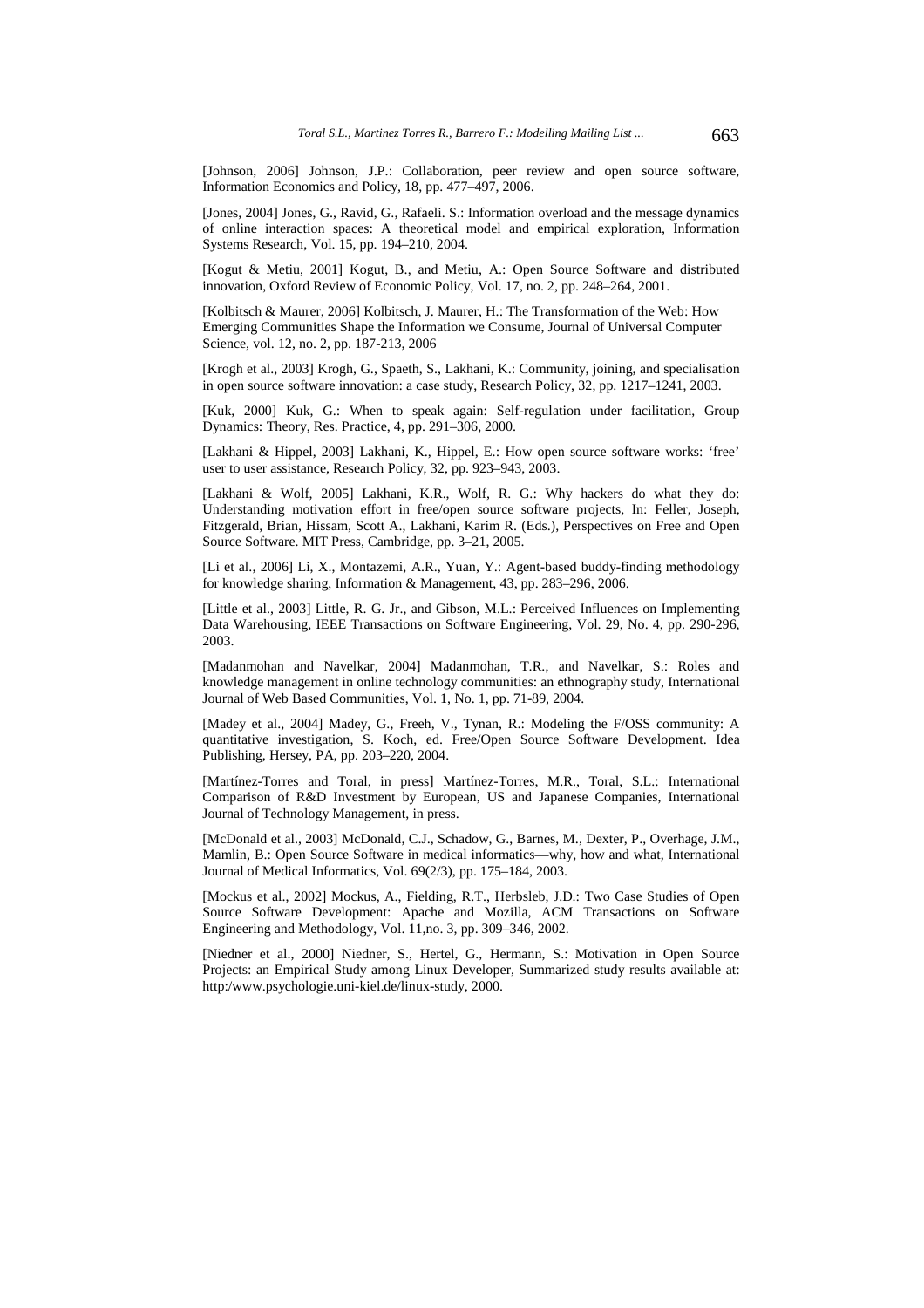[Johnson, 2006] Johnson, J.P.: Collaboration, peer review and open source software, Information Economics and Policy, 18, pp. 477–497, 2006.

[Jones, 2004] Jones, G., Ravid, G., Rafaeli. S.: Information overload and the message dynamics of online interaction spaces: A theoretical model and empirical exploration, Information Systems Research, Vol. 15, pp. 194–210, 2004.

[Kogut & Metiu, 2001] Kogut, B., and Metiu, A.: Open Source Software and distributed innovation, Oxford Review of Economic Policy, Vol. 17, no. 2, pp. 248–264, 2001.

[Kolbitsch & Maurer, 2006] Kolbitsch, J. Maurer, H.: The Transformation of the Web: How Emerging Communities Shape the Information we Consume, Journal of Universal Computer Science, vol. 12, no. 2, pp. 187-213, 2006

[Krogh et al., 2003] Krogh, G., Spaeth, S., Lakhani, K.: Community, joining, and specialisation in open source software innovation: a case study, Research Policy, 32, pp. 1217–1241, 2003.

[Kuk, 2000] Kuk, G.: When to speak again: Self-regulation under facilitation, Group Dynamics: Theory, Res. Practice, 4, pp. 291–306, 2000.

[Lakhani & Hippel, 2003] Lakhani, K., Hippel, E.: How open source software works: 'free' user to user assistance, Research Policy, 32, pp. 923–943, 2003.

[Lakhani & Wolf, 2005] Lakhani, K.R., Wolf, R. G.: Why hackers do what they do: Understanding motivation effort in free/open source software projects, In: Feller, Joseph, Fitzgerald, Brian, Hissam, Scott A., Lakhani, Karim R. (Eds.), Perspectives on Free and Open Source Software. MIT Press, Cambridge, pp. 3–21, 2005.

[Li et al., 2006] Li, X., Montazemi, A.R., Yuan, Y.: Agent-based buddy-finding methodology for knowledge sharing, Information & Management, 43, pp. 283–296, 2006.

[Little et al., 2003] Little, R. G. Jr., and Gibson, M.L.: Perceived Influences on Implementing Data Warehousing, IEEE Transactions on Software Engineering, Vol. 29, No. 4, pp. 290-296, 2003.

[Madanmohan and Navelkar, 2004] Madanmohan, T.R., and Navelkar, S.: Roles and knowledge management in online technology communities: an ethnography study, International Journal of Web Based Communities, Vol. 1, No. 1, pp. 71-89, 2004.

[Madey et al., 2004] Madey, G., Freeh, V., Tynan, R.: Modeling the F/OSS community: A quantitative investigation, S. Koch, ed. Free/Open Source Software Development. Idea Publishing, Hersey, PA, pp. 203–220, 2004.

[Martínez-Torres and Toral, in press] Martínez-Torres, M.R., Toral, S.L.: International Comparison of R&D Investment by European, US and Japanese Companies, International Journal of Technology Management, in press.

[McDonald et al., 2003] McDonald, C.J., Schadow, G., Barnes, M., Dexter, P., Overhage, J.M., Mamlin, B.: Open Source Software in medical informatics—why, how and what, International Journal of Medical Informatics, Vol. 69(2/3), pp. 175–184, 2003.

[Mockus et al., 2002] Mockus, A., Fielding, R.T., Herbsleb, J.D.: Two Case Studies of Open Source Software Development: Apache and Mozilla, ACM Transactions on Software Engineering and Methodology, Vol. 11,no. 3, pp. 309–346, 2002.

[Niedner et al., 2000] Niedner, S., Hertel, G., Hermann, S.: Motivation in Open Source Projects: an Empirical Study among Linux Developer, Summarized study results available at: http:/www.psychologie.uni-kiel.de/linux-study, 2000.